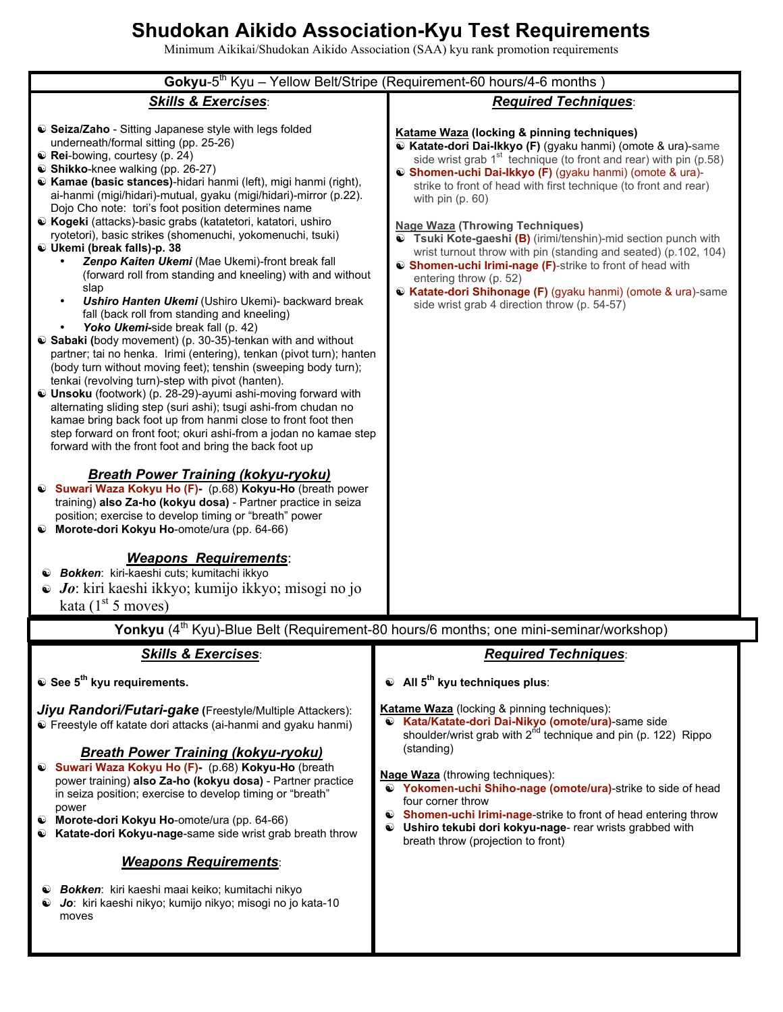## **Shudokan Aikido Association-Kyu Test Requirements**

Minimum Aikikai/Shudokan Aikido Association (SAA) kyu rank promotion requirements

| Gokyu-5 <sup>th</sup> Kyu - Yellow Belt/Stripe (Requirement-60 hours/4-6 months)                                                                                                                                                                                                                                                                                                                                                                                                                                                                                                                                                                                                                                                                                                                                                                                                                                                                                                                                                                                                                                                                                                                                                                                                                                                                                                                                                                                                                                                                                                                                                                                                                                                                                                                                                                                             |                                                                                                                                                                                                                                                                                                                                                                                                                                                                                                                                                                                                                                                                                                                                     |  |
|------------------------------------------------------------------------------------------------------------------------------------------------------------------------------------------------------------------------------------------------------------------------------------------------------------------------------------------------------------------------------------------------------------------------------------------------------------------------------------------------------------------------------------------------------------------------------------------------------------------------------------------------------------------------------------------------------------------------------------------------------------------------------------------------------------------------------------------------------------------------------------------------------------------------------------------------------------------------------------------------------------------------------------------------------------------------------------------------------------------------------------------------------------------------------------------------------------------------------------------------------------------------------------------------------------------------------------------------------------------------------------------------------------------------------------------------------------------------------------------------------------------------------------------------------------------------------------------------------------------------------------------------------------------------------------------------------------------------------------------------------------------------------------------------------------------------------------------------------------------------------|-------------------------------------------------------------------------------------------------------------------------------------------------------------------------------------------------------------------------------------------------------------------------------------------------------------------------------------------------------------------------------------------------------------------------------------------------------------------------------------------------------------------------------------------------------------------------------------------------------------------------------------------------------------------------------------------------------------------------------------|--|
| <b>Skills &amp; Exercises:</b>                                                                                                                                                                                                                                                                                                                                                                                                                                                                                                                                                                                                                                                                                                                                                                                                                                                                                                                                                                                                                                                                                                                                                                                                                                                                                                                                                                                                                                                                                                                                                                                                                                                                                                                                                                                                                                               | <b>Required Techniques:</b>                                                                                                                                                                                                                                                                                                                                                                                                                                                                                                                                                                                                                                                                                                         |  |
| Seiza/Zaho - Sitting Japanese style with legs folded<br>underneath/formal sitting (pp. 25-26)<br><sup>©</sup> Rei-bowing, courtesy (p. 24)<br>Shikko-knee walking (pp. 26-27)<br>C Kamae (basic stances)-hidari hanmi (left), migi hanmi (right),<br>ai-hanmi (migi/hidari)-mutual, gyaku (migi/hidari)-mirror (p.22).<br>Dojo Cho note: tori's foot position determines name<br>C Kogeki (attacks)-basic grabs (katatetori, katatori, ushiro<br>ryotetori), basic strikes (shomenuchi, yokomenuchi, tsuki)<br>Ukemi (break falls)-p. 38<br>Zenpo Kaiten Ukemi (Mae Ukemi)-front break fall<br>(forward roll from standing and kneeling) with and without<br>slap<br>Ushiro Hanten Ukemi (Ushiro Ukemi)- backward break<br>$\bullet$<br>fall (back roll from standing and kneeling)<br>Yoko Ukemi-side break fall (p. 42)<br>Sabaki (body movement) (p. 30-35)-tenkan with and without<br>partner; tai no henka. Irimi (entering), tenkan (pivot turn); hanten<br>(body turn without moving feet); tenshin (sweeping body turn);<br>tenkai (revolving turn)-step with pivot (hanten).<br>Unsoku (footwork) (p. 28-29)-ayumi ashi-moving forward with<br>alternating sliding step (suri ashi); tsugi ashi-from chudan no<br>kamae bring back foot up from hanmi close to front foot then<br>step forward on front foot; okuri ashi-from a jodan no kamae step<br>forward with the front foot and bring the back foot up<br><b>Breath Power Training (kokyu-ryoku)</b><br>C Suwari Waza Kokyu Ho (F)- (p.68) Kokyu-Ho (breath power<br>training) also Za-ho (kokyu dosa) - Partner practice in seiza<br>position; exercise to develop timing or "breath" power<br>Morote-dori Kokyu Ho-omote/ura (pp. 64-66)<br><b>Weapons Requirements:</b><br>Bokken: kiri-kaeshi cuts; kumitachi ikkyo<br><b>Jo</b> : kiri kaeshi ikkyo; kumijo ikkyo; misogi no jo<br>kata $(1st 5$ moves) | Katame Waza (locking & pinning techniques)<br>C Katate-dori Dai-Ikkyo (F) (gyaku hanmi) (omote & ura)-same<br>side wrist grab $1st$ technique (to front and rear) with pin (p.58)<br>C Shomen-uchi Dai-Ikkyo (F) (gyaku hanmi) (omote & ura)-<br>strike to front of head with first technique (to front and rear)<br>with $pin (p. 60)$<br><b>Nage Waza (Throwing Techniques)</b><br>$\odot$ Tsuki Kote-gaeshi (B) (irimi/tenshin)-mid section punch with<br>wrist turnout throw with pin (standing and seated) (p.102, 104)<br>C Shomen-uchi Irimi-nage (F)-strike to front of head with<br>entering throw (p. 52)<br>C Katate-dori Shihonage (F) (gyaku hanmi) (omote & ura)-same<br>side wrist grab 4 direction throw (p. 54-57) |  |
| Yonkyu (4 <sup>th</sup> Kyu)-Blue Belt (Requirement-80 hours/6 months; one mini-seminar/workshop)                                                                                                                                                                                                                                                                                                                                                                                                                                                                                                                                                                                                                                                                                                                                                                                                                                                                                                                                                                                                                                                                                                                                                                                                                                                                                                                                                                                                                                                                                                                                                                                                                                                                                                                                                                            |                                                                                                                                                                                                                                                                                                                                                                                                                                                                                                                                                                                                                                                                                                                                     |  |
| <b>Skills &amp; Exercises:</b>                                                                                                                                                                                                                                                                                                                                                                                                                                                                                                                                                                                                                                                                                                                                                                                                                                                                                                                                                                                                                                                                                                                                                                                                                                                                                                                                                                                                                                                                                                                                                                                                                                                                                                                                                                                                                                               | <b>Required Techniques:</b>                                                                                                                                                                                                                                                                                                                                                                                                                                                                                                                                                                                                                                                                                                         |  |
| $\odot$ See 5 <sup>th</sup> kyu requirements.                                                                                                                                                                                                                                                                                                                                                                                                                                                                                                                                                                                                                                                                                                                                                                                                                                                                                                                                                                                                                                                                                                                                                                                                                                                                                                                                                                                                                                                                                                                                                                                                                                                                                                                                                                                                                                | $\odot$ All 5 <sup>th</sup> kyu techniques plus:                                                                                                                                                                                                                                                                                                                                                                                                                                                                                                                                                                                                                                                                                    |  |
| <b>Jiyu Randori/Futari-gake (Freestyle/Multiple Attackers):</b><br>Expressive off katate dori attacks (ai-hanmi and gyaku hanmi)<br><b>Breath Power Training (kokyu-ryoku)</b><br>C Suwari Waza Kokyu Ho (F)- (p.68) Kokyu-Ho (breath<br>power training) also Za-ho (kokyu dosa) - Partner practice<br>in seiza position; exercise to develop timing or "breath"<br>power<br>Morote-dori Kokyu Ho-omote/ura (pp. 64-66)<br>❤<br>Katate-dori Kokyu-nage-same side wrist grab breath throw<br><b>Weapons Requirements:</b><br><b>Eokken:</b> kiri kaeshi maai keiko; kumitachi nikyo<br>Jo: kiri kaeshi nikyo; kumijo nikyo; misogi no jo kata-10<br>moves                                                                                                                                                                                                                                                                                                                                                                                                                                                                                                                                                                                                                                                                                                                                                                                                                                                                                                                                                                                                                                                                                                                                                                                                                     | Katame Waza (locking & pinning techniques):<br>Kata/Katate-dori Dai-Nikyo (omote/ura)-same side<br>shoulder/wrist grab with 2 <sup>nd</sup> technique and pin (p. 122) Rippo<br>(standing)<br><b>Nage Waza</b> (throwing techniques):<br>C Yokomen-uchi Shiho-nage (omote/ura)-strike to side of head<br>four corner throw<br>Shomen-uchi Irimi-nage-strike to front of head entering throw<br>◐<br>Ushiro tekubi dori kokyu-nage- rear wrists grabbed with<br>breath throw (projection to front)                                                                                                                                                                                                                                   |  |

]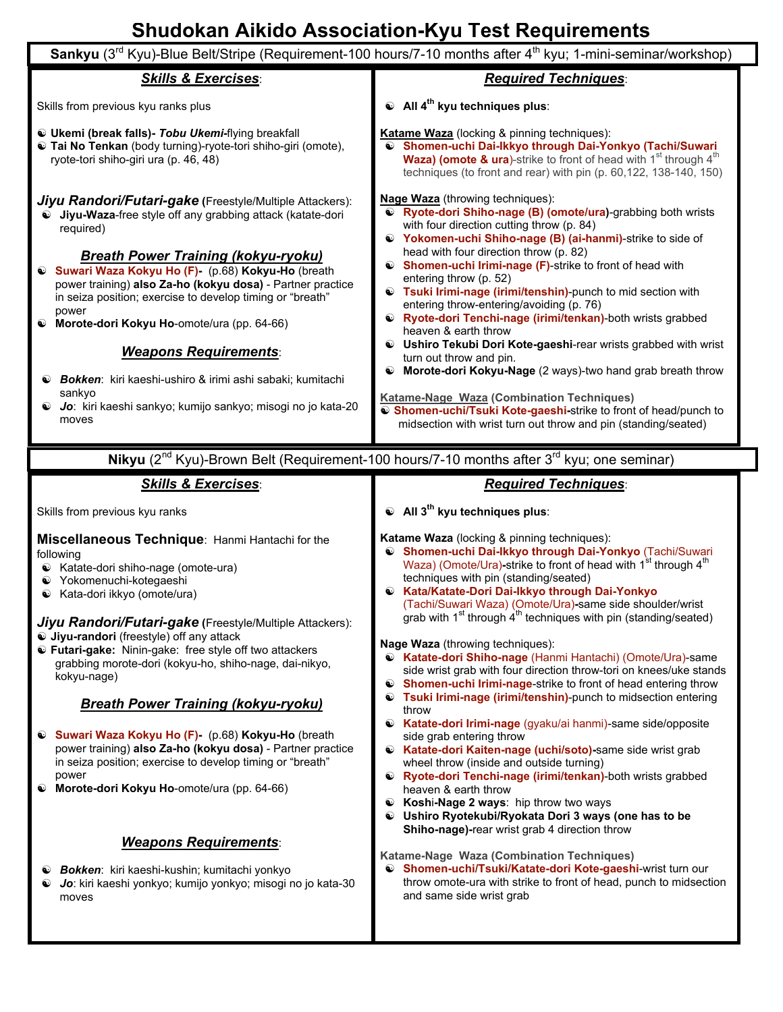## **Shudokan Aikido Association-Kyu Test Requirements**

| Sankyu (3 <sup>rd</sup> Kyu)-Blue Belt/Stripe (Requirement-100 hours/7-10 months after 4 <sup>th</sup> kyu; 1-mini-seminar/workshop)                                                                                                                                                             |                                                                                                                                                                                                                                                                                                            |  |
|--------------------------------------------------------------------------------------------------------------------------------------------------------------------------------------------------------------------------------------------------------------------------------------------------|------------------------------------------------------------------------------------------------------------------------------------------------------------------------------------------------------------------------------------------------------------------------------------------------------------|--|
| <b>Skills &amp; Exercises:</b>                                                                                                                                                                                                                                                                   | <b>Required Techniques:</b>                                                                                                                                                                                                                                                                                |  |
| Skills from previous kyu ranks plus                                                                                                                                                                                                                                                              | $\odot$ All 4 <sup>th</sup> kyu techniques plus:                                                                                                                                                                                                                                                           |  |
| Ukemi (break falls)- Tobu Ukemi-flying breakfall<br>Tai No Tenkan (body turning)-ryote-tori shiho-giri (omote),<br>ryote-tori shiho-giri ura (p. 46, 48)                                                                                                                                         | Katame Waza (locking & pinning techniques):<br>C Shomen-uchi Dai-Ikkyo through Dai-Yonkyo (Tachi/Suwari<br>Waza) (omote & ura)-strike to front of head with 1 <sup>st</sup> through 4 <sup>th</sup><br>techniques (to front and rear) with pin (p. 60,122, 138-140, 150)                                   |  |
| <b>Jiyu Randori/Futari-gake (Freestyle/Multiple Attackers):</b><br>Uiyu-Waza-free style off any grabbing attack (katate-dori<br>required)                                                                                                                                                        | <b>Nage Waza</b> (throwing techniques):<br>Ryote-dori Shiho-nage (B) (omote/ura)-grabbing both wrists<br>with four direction cutting throw (p. 84)<br>C Yokomen-uchi Shiho-nage (B) (ai-hanmi)-strike to side of                                                                                           |  |
| <b>Breath Power Training (kokyu-ryoku)</b><br>C Suwari Waza Kokyu Ho (F)- (p.68) Kokyu-Ho (breath<br>power training) also Za-ho (kokyu dosa) - Partner practice<br>in seiza position; exercise to develop timing or "breath"<br>power<br>Morote-dori Kokyu Ho-omote/ura (pp. 64-66)<br>$\bullet$ | head with four direction throw (p. 82)<br>$\odot$ Shomen-uchi Irimi-nage (F)-strike to front of head with<br>entering throw (p. 52)<br>Tsuki Irimi-nage (irimi/tenshin)-punch to mid section with<br>entering throw-entering/avoiding (p. 76)<br>Ryote-dori Tenchi-nage (irimi/tenkan)-both wrists grabbed |  |
| <b>Weapons Requirements:</b><br>E Bokken: kiri kaeshi-ushiro & irimi ashi sabaki; kumitachi                                                                                                                                                                                                      | heaven & earth throw<br>C Ushiro Tekubi Dori Kote-gaeshi-rear wrists grabbed with wrist<br>turn out throw and pin.<br>Morote-dori Kokyu-Nage (2 ways)-two hand grab breath throw<br>$\bullet$                                                                                                              |  |
| sankyo<br>U Jo: kiri kaeshi sankyo; kumijo sankyo; misogi no jo kata-20<br>moves                                                                                                                                                                                                                 | <b>Katame-Nage Waza (Combination Techniques)</b><br>Shomen-uchi/Tsuki Kote-gaeshi-strike to front of head/punch to<br>midsection with wrist turn out throw and pin (standing/seated)                                                                                                                       |  |
| Nikyu (2 <sup>nd</sup> Kyu)-Brown Belt (Requirement-100 hours/7-10 months after 3 <sup>rd</sup> kyu; one seminar)                                                                                                                                                                                |                                                                                                                                                                                                                                                                                                            |  |
| <b>Skills &amp; Exercises:</b>                                                                                                                                                                                                                                                                   | <b>Required Techniques:</b>                                                                                                                                                                                                                                                                                |  |
| Skills from previous kyu ranks                                                                                                                                                                                                                                                                   | $\odot$ All 3 <sup>th</sup> kyu techniques plus:                                                                                                                                                                                                                                                           |  |

**Miscellaneous Technique**: Hanmi Hantachi for the following

- $\odot$  Katate-dori shiho-nage (omote-ura)
- Yokomenuchi-kotegaeshi
- Kata-dori ikkyo (omote/ura)

*Jiyu Randori/Futari-gake* **(**Freestyle/Multiple Attackers): **Jiyu-randori** (freestyle) off any attack

 **Futari-gake:** Ninin-gake: free style off two attackers grabbing morote-dori (kokyu-ho, shiho-nage, dai-nikyo, kokyu-nage)

#### *Breath Power Training (kokyu-ryoku)*

- **Suwari Waza Kokyu Ho (F)-** (p.68) **Kokyu-Ho** (breath power training) **also Za-ho (kokyu dosa)** - Partner practice in seiza position; exercise to develop timing or "breath" power
- **Morote-dori Kokyu Ho**-omote/ura (pp. 64-66)

#### *Weapons Requirements*:

- *Bokken*: kiri kaeshi-kushin; kumitachi yonkyo
- *Jo*: kiri kaeshi yonkyo; kumijo yonkyo; misogi no jo kata-30 moves

**Katame Waza** (locking & pinning techniques):

- **Shomen-uchi Dai-Ikkyo through Dai-Yonkyo** (Tachi/Suwari Waza) (Omote/Ura)-strike to front of head with 1<sup>st</sup> through 4<sup>th</sup> techniques with pin (standing/seated)
- **Kata/Katate-Dori Dai-Ikkyo through Dai-Yonkyo** (Tachi/Suwari Waza) (Omote/Ura)**-**same side shoulder/wrist grab with  $1<sup>st</sup>$  through  $4<sup>th</sup>$  techniques with pin (standing/seated)

**Nage Waza** (throwing techniques):

- **Katate-dori Shiho-nage** (Hanmi Hantachi) (Omote/Ura)-same side wrist grab with four direction throw-tori on knees/uke stands
- **Shomen-uchi Irimi-nage**-strike to front of head entering throw
- **Tsuki Irimi-nage (irimi/tenshin)**-punch to midsection entering throw
- **Katate-dori Irimi-nage** (gyaku/ai hanmi)-same side/opposite side grab entering throw
- **Katate-dori Kaiten-nage (uchi/soto)-**same side wrist grab wheel throw (inside and outside turning)
- **Ryote-dori Tenchi-nage (irimi/tenkan)**-both wrists grabbed heaven & earth throw
- **Kosh**i**-Nage 2 ways**: hip throw two ways
- **Ushiro Ryotekubi/Ryokata Dori 3 ways (one has to be Shiho-nage)-**rear wrist grab 4 direction throw

**Katame-Nage Waza (Combination Techniques)**

 **Shomen-uchi/Tsuki/Katate-dori Kote-gaeshi**-wrist turn our throw omote-ura with strike to front of head, punch to midsection and same side wrist grab